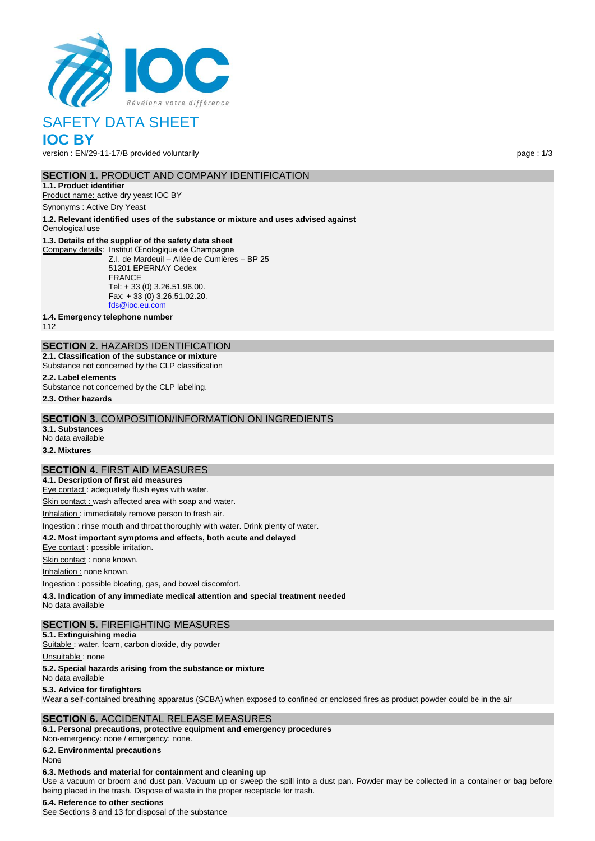

# SAFETY DATA SHEET

# **IOC BY**

version : EN/29-11-17/B provided voluntarily page : 1/3

### **SECTION 1.** PRODUCT AND COMPANY IDENTIFICATION

**1.1. Product identifier** Product name: active dry yeast IOC BY

Synonyms : Active Dry Yeast

**1.2. Relevant identified uses of the substance or mixture and uses advised against** Oenological use

#### **1.3. Details of the supplier of the safety data sheet**

Company details: Institut Œnologique de Champagne Z.I. de Mardeuil – Allée de Cumières – BP 25 51201 EPERNAY Cedex FRANCE Tel: + 33 (0) 3.26.51.96.00. Fax: + 33 (0) 3.26.51.02.20. [fds@ioc.eu.com](mailto:fds@ioc.eu.com)

**1.4. Emergency telephone number**

112

# **SECTION 2.** HAZARDS IDENTIFICATION

**2.1. Classification of the substance or mixture** Substance not concerned by the CLP classification

**2.2. Label elements**

Substance not concerned by the CLP labeling.

**2.3. Other hazards**

#### **SECTION 3.** COMPOSITION/INFORMATION ON INGREDIENTS

**3.1. Substances** No data available

**3.2. Mixtures**

#### **SECTION 4.** FIRST AID MEASURES

**4.1. Description of first aid measures** Eye contact : adequately flush eyes with water.

Skin contact : wash affected area with soap and water.

Inhalation : immediately remove person to fresh air.

# Ingestion : rinse mouth and throat thoroughly with water. Drink plenty of water.

**4.2. Most important symptoms and effects, both acute and delayed**

Eye contact : possible irritation.

Skin contact : none known.

Inhalation : none known.

Ingestion : possible bloating, gas, and bowel discomfort.

**4.3. Indication of any immediate medical attention and special treatment needed**

No data available

#### **SECTION 5.** FIREFIGHTING MEASURES

**5.1. Extinguishing media**

Suitable : water, foam, carbon dioxide, dry powder

Unsuitable: none

#### **5.2. Special hazards arising from the substance or mixture**

No data available

#### **5.3. Advice for firefighters**

Wear a self-contained breathing apparatus (SCBA) when exposed to confined or enclosed fires as product powder could be in the air

#### **SECTION 6.** ACCIDENTAL RELEASE MEASURES

**6.1. Personal precautions, protective equipment and emergency procedures** Non‐emergency: none / emergency: none.

**6.2. Environmental precautions**

#### None

#### **6.3. Methods and material for containment and cleaning up**

Use a vacuum or broom and dust pan. Vacuum up or sweep the spill into a dust pan. Powder may be collected in a container or bag before being placed in the trash. Dispose of waste in the proper receptacle for trash.

#### **6.4. Reference to other sections**

See Sections 8 and 13 for disposal of the substance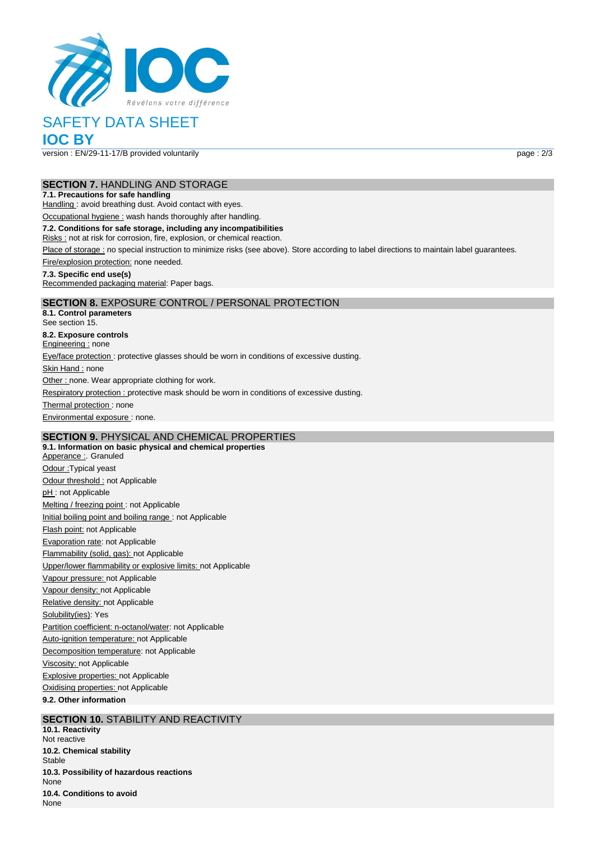

# SAFETY DATA SHEET

**IOC BY**

version : EN/29-11-17/B provided voluntarily page : 2/3

#### **SECTION 7.** HANDLING AND STORAGE

#### **7.1. Precautions for safe handling**

Handling : avoid breathing dust. Avoid contact with eyes.

Occupational hygiene : wash hands thoroughly after handling.

#### **7.2. Conditions for safe storage, including any incompatibilities**

Risks : not at risk for corrosion, fire, explosion, or chemical reaction.

Place of storage : no special instruction to minimize risks (see above). Store according to label directions to maintain label guarantees.

Fire/explosion protection: none needed.

#### **7.3. Specific end use(s)**

Recommended packaging material: Paper bags.

### **SECTION 8.** EXPOSURE CONTROL / PERSONAL PROTECTION

**8.1. Control parameters** See section 15. **8.2. Exposure controls** Engineering : none Eye/face protection : protective glasses should be worn in conditions of excessive dusting. Skin Hand : none Other : none. Wear appropriate clothing for work. Respiratory protection : protective mask should be worn in conditions of excessive dusting. Thermal protection: none Environmental exposure : none.

## **SECTION 9.** PHYSICAL AND CHEMICAL PROPERTIES

**9.1. Information on basic physical and chemical properties** Apperance : Granuled Odour :Typical yeast Odour threshold : not Applicable pH: not Applicable Melting / freezing point : not Applicable Initial boiling point and boiling range : not Applicable Flash point: not Applicable Evaporation rate: not Applicable Flammability (solid, gas): not Applicable Upper/lower flammability or explosive limits: not Applicable Vapour pressure: not Applicable Vapour density: not Applicable Relative density: not Applicable Solubility(ies): Yes Partition coefficient: n-octanol/water: not Applicable Auto-ignition temperature: not Applicable Decomposition temperature: not Applicable Viscosity: not Applicable Explosive properties: not Applicable Oxidising properties: not Applicable **9.2. Other information**

### **SECTION 10. STABILITY AND REACTIVITY**

**10.1. Reactivity** Not reactive **10.2. Chemical stability** Stable **10.3. Possibility of hazardous reactions** None **10.4. Conditions to avoid** None